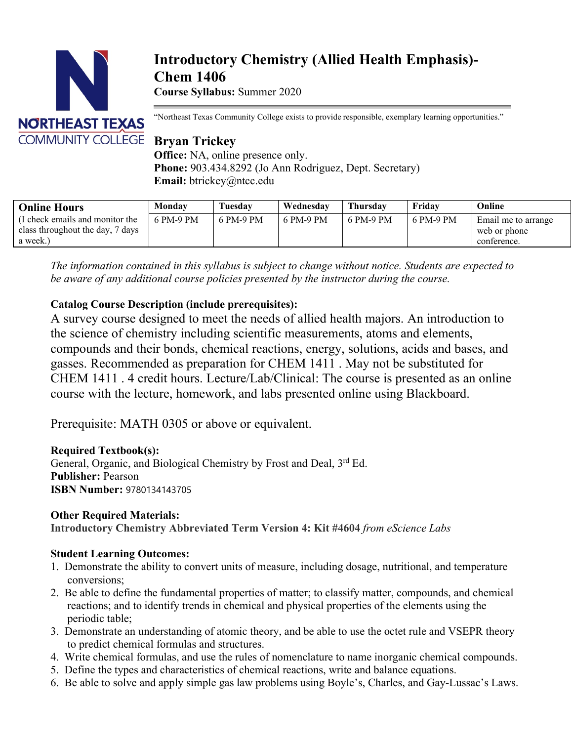

# **Introductory Chemistry (Allied Health Emphasis)- Chem 1406 Course Syllabus:** Summer 2020

"Northeast Texas Community College exists to provide responsible, exemplary learning opportunities."

# **Bryan Trickey**

**Office:** NA, online presence only. **Phone:** 903.434.8292 (Jo Ann Rodriguez, Dept. Secretary) **Email:** btrickey@ntcc.edu

| <b>Online Hours</b>                                                             | Monday    | Tuesday   | Wednesday | <b>Thursday</b> | Friday    | Online                                             |
|---------------------------------------------------------------------------------|-----------|-----------|-----------|-----------------|-----------|----------------------------------------------------|
| (I check emails and monitor the<br>class throughout the day, 7 days<br>a week.) | 6 PM-9 PM | 6 PM-9 PM | 6 PM-9 PM | 6 PM-9 PM       | 6 PM-9 PM | Email me to arrange<br>web or phone<br>conference. |

*The information contained in this syllabus is subject to change without notice. Students are expected to be aware of any additional course policies presented by the instructor during the course.*

## **Catalog Course Description (include prerequisites):**

A survey course designed to meet the needs of allied health majors. An introduction to the science of chemistry including scientific measurements, atoms and elements, compounds and their bonds, chemical reactions, energy, solutions, acids and bases, and gasses. Recommended as preparation for CHEM 1411 . May not be substituted for CHEM 1411 . 4 credit hours. Lecture/Lab/Clinical: The course is presented as an online course with the lecture, homework, and labs presented online using Blackboard.

Prerequisite: MATH 0305 or above or equivalent.

## **Required Textbook(s):**

General, Organic, and Biological Chemistry by Frost and Deal, 3<sup>rd</sup> Ed. **Publisher:** Pearson **ISBN Number:** 9780134143705

## **Other Required Materials:**

**Introductory Chemistry Abbreviated Term Version 4: Kit #4604** *from eScience Labs*

## **Student Learning Outcomes:**

- 1. Demonstrate the ability to convert units of measure, including dosage, nutritional, and temperature conversions;
- 2. Be able to define the fundamental properties of matter; to classify matter, compounds, and chemical reactions; and to identify trends in chemical and physical properties of the elements using the periodic table;
- 3. Demonstrate an understanding of atomic theory, and be able to use the octet rule and VSEPR theory to predict chemical formulas and structures.
- 4. Write chemical formulas, and use the rules of nomenclature to name inorganic chemical compounds.
- 5. Define the types and characteristics of chemical reactions, write and balance equations.
- 6. Be able to solve and apply simple gas law problems using Boyle's, Charles, and Gay-Lussac's Laws.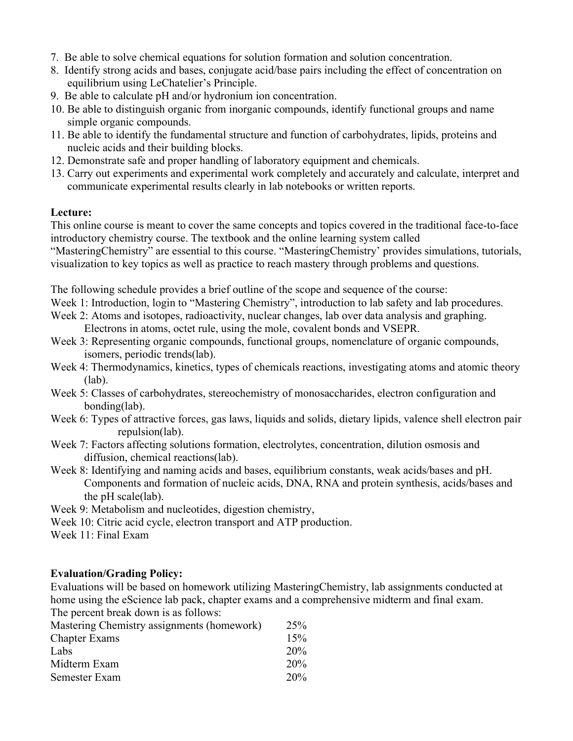- 7. Be able to solve chemical equations for solution formation and solution concentration.
- 8. Identify strong acids and bases, conjugate acid/base pairs including the effect of concentration on equilibrium using LeChatelier's Principle.
- 9. Be able to calculate pH and/or hydronium ion concentration.
- 10. Be able to distinguish organic from inorganic compounds, identify functional groups and name simple organic compounds.
- 11. Be able to identify the fundamental structure and function of carbohydrates, lipids, proteins and nucleic acids and their building blocks.
- 12. Demonstrate safe and proper handling of laboratory equipment and chemicals.
- 13. Carry out experiments and experimental work completely and accurately and calculate, interpret and communicate experimental results clearly in lab notebooks or written reports.

## **Lecture:**

This online course is meant to cover the same concepts and topics covered in the traditional face-to-face introductory chemistry course. The textbook and the online learning system called

"MasteringChemistry" are essential to this course. "MasteringChemistry' provides simulations, tutorials, visualization to key topics as well as practice to reach mastery through problems and questions.

The following schedule provides a brief outline of the scope and sequence of the course:

Week 1: Introduction, login to "Mastering Chemistry", introduction to lab safety and lab procedures.

- Week 2: Atoms and isotopes, radioactivity, nuclear changes, lab over data analysis and graphing. Electrons in atoms, octet rule, using the mole, covalent bonds and VSEPR.
- Week 3: Representing organic compounds, functional groups, nomenclature of organic compounds, isomers, periodic trends(lab).
- Week 4: Thermodynamics, kinetics, types of chemicals reactions, investigating atoms and atomic theory (lab).
- Week 5: Classes of carbohydrates, stereochemistry of monosaccharides, electron configuration and bonding(lab).
- Week 6: Types of attractive forces, gas laws, liquids and solids, dietary lipids, valence shell electron pair repulsion(lab).
- Week 7: Factors affecting solutions formation, electrolytes, concentration, dilution osmosis and diffusion, chemical reactions(lab).
- Week 8: Identifying and naming acids and bases, equilibrium constants, weak acids/bases and pH. Components and formation of nucleic acids, DNA, RNA and protein synthesis, acids/bases and the pH scale(lab).

Week 9: Metabolism and nucleotides, digestion chemistry,

Week 10: Citric acid cycle, electron transport and ATP production.

Week 11: Final Exam

## **Evaluation/Grading Policy:**

Evaluations will be based on homework utilizing MasteringChemistry, lab assignments conducted at home using the eScience lab pack, chapter exams and a comprehensive midterm and final exam. The percent break down is as follows:

| Mastering Chemistry assignments (homework) | 25% |
|--------------------------------------------|-----|
| <b>Chapter Exams</b>                       | 15% |
| Labs                                       | 20% |
| Midterm Exam                               | 20% |
| Semester Exam                              | 20% |
|                                            |     |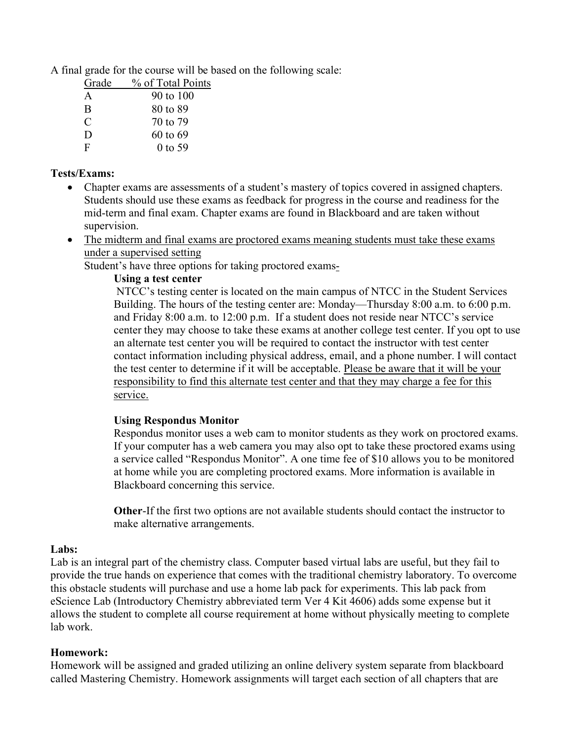A final grade for the course will be based on the following scale:

| Grade         | % of Total Points |
|---------------|-------------------|
| A             | 90 to 100         |
| <sup>B</sup>  | 80 to 89          |
| $\mathcal{C}$ | 70 to 79          |
| D             | 60 to 69          |
| F             | $0$ to 59         |
|               |                   |

#### **Tests/Exams:**

- Chapter exams are assessments of a student's mastery of topics covered in assigned chapters. Students should use these exams as feedback for progress in the course and readiness for the mid-term and final exam. Chapter exams are found in Blackboard and are taken without supervision.
- The midterm and final exams are proctored exams meaning students must take these exams under a supervised setting

Student's have three options for taking proctored exams-

#### **Using a test center**

NTCC's testing center is located on the main campus of NTCC in the Student Services Building. The hours of the testing center are: Monday—Thursday 8:00 a.m. to 6:00 p.m. and Friday 8:00 a.m. to 12:00 p.m. If a student does not reside near NTCC's service center they may choose to take these exams at another college test center. If you opt to use an alternate test center you will be required to contact the instructor with test center contact information including physical address, email, and a phone number. I will contact the test center to determine if it will be acceptable. Please be aware that it will be your responsibility to find this alternate test center and that they may charge a fee for this service.

## **Using Respondus Monitor**

Respondus monitor uses a web cam to monitor students as they work on proctored exams. If your computer has a web camera you may also opt to take these proctored exams using a service called "Respondus Monitor". A one time fee of \$10 allows you to be monitored at home while you are completing proctored exams. More information is available in Blackboard concerning this service.

**Other**-If the first two options are not available students should contact the instructor to make alternative arrangements.

#### **Labs:**

Lab is an integral part of the chemistry class. Computer based virtual labs are useful, but they fail to provide the true hands on experience that comes with the traditional chemistry laboratory. To overcome this obstacle students will purchase and use a home lab pack for experiments. This lab pack from eScience Lab (Introductory Chemistry abbreviated term Ver 4 Kit 4606) adds some expense but it allows the student to complete all course requirement at home without physically meeting to complete lab work.

## **Homework:**

Homework will be assigned and graded utilizing an online delivery system separate from blackboard called Mastering Chemistry. Homework assignments will target each section of all chapters that are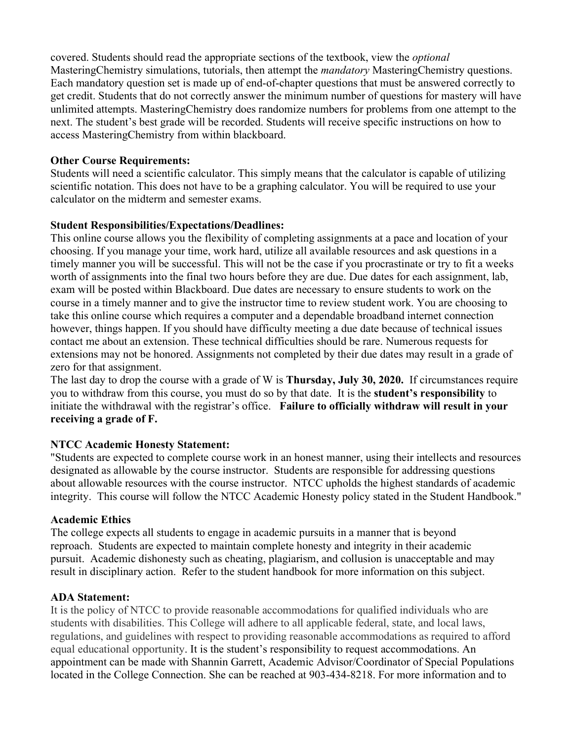covered. Students should read the appropriate sections of the textbook, view the *optional* MasteringChemistry simulations, tutorials, then attempt the *mandatory* MasteringChemistry questions. Each mandatory question set is made up of end-of-chapter questions that must be answered correctly to get credit. Students that do not correctly answer the minimum number of questions for mastery will have unlimited attempts. MasteringChemistry does randomize numbers for problems from one attempt to the next. The student's best grade will be recorded. Students will receive specific instructions on how to access MasteringChemistry from within blackboard.

#### **Other Course Requirements:**

Students will need a scientific calculator. This simply means that the calculator is capable of utilizing scientific notation. This does not have to be a graphing calculator. You will be required to use your calculator on the midterm and semester exams.

#### **Student Responsibilities/Expectations/Deadlines:**

This online course allows you the flexibility of completing assignments at a pace and location of your choosing. If you manage your time, work hard, utilize all available resources and ask questions in a timely manner you will be successful. This will not be the case if you procrastinate or try to fit a weeks worth of assignments into the final two hours before they are due. Due dates for each assignment, lab, exam will be posted within Blackboard. Due dates are necessary to ensure students to work on the course in a timely manner and to give the instructor time to review student work. You are choosing to take this online course which requires a computer and a dependable broadband internet connection however, things happen. If you should have difficulty meeting a due date because of technical issues contact me about an extension. These technical difficulties should be rare. Numerous requests for extensions may not be honored. Assignments not completed by their due dates may result in a grade of zero for that assignment.

The last day to drop the course with a grade of W is **Thursday, July 30, 2020.** If circumstances require you to withdraw from this course, you must do so by that date. It is the **student's responsibility** to initiate the withdrawal with the registrar's office. **Failure to officially withdraw will result in your receiving a grade of F.**

## **NTCC Academic Honesty Statement:**

"Students are expected to complete course work in an honest manner, using their intellects and resources designated as allowable by the course instructor. Students are responsible for addressing questions about allowable resources with the course instructor. NTCC upholds the highest standards of academic integrity. This course will follow the NTCC Academic Honesty policy stated in the Student Handbook."

#### **Academic Ethics**

The college expects all students to engage in academic pursuits in a manner that is beyond reproach. Students are expected to maintain complete honesty and integrity in their academic pursuit. Academic dishonesty such as cheating, plagiarism, and collusion is unacceptable and may result in disciplinary action. Refer to the student handbook for more information on this subject.

#### **ADA Statement:**

It is the policy of NTCC to provide reasonable accommodations for qualified individuals who are students with disabilities. This College will adhere to all applicable federal, state, and local laws, regulations, and guidelines with respect to providing reasonable accommodations as required to afford equal educational opportunity. It is the student's responsibility to request accommodations. An appointment can be made with Shannin Garrett, Academic Advisor/Coordinator of Special Populations located in the College Connection. She can be reached at 903-434-8218. For more information and to